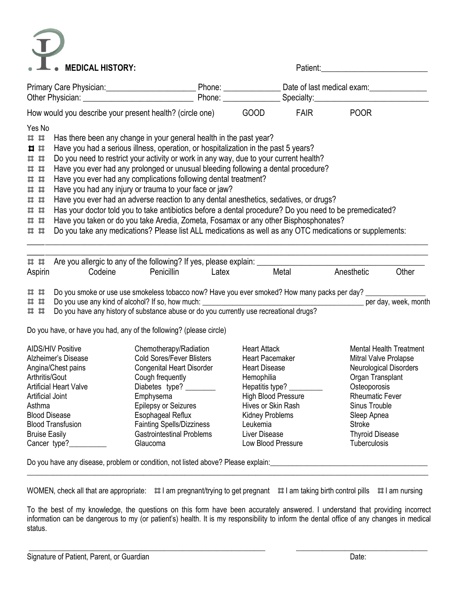## $\widehat{\mathbf{J}}$  $\bullet$

| <b>MEDICAL HISTORY:</b>                                                                                                                                                                                                                                                                                                                                                                                                                                                                                                                                                                                                                                                                                                                                                                                                                                                                                                                          |                                                                                                                                                                                                                                                                                                                                                                                                      | Patient:                                                                                                                                                                                                                  |                                                                                                                                                                                                                                                                         |  |  |  |
|--------------------------------------------------------------------------------------------------------------------------------------------------------------------------------------------------------------------------------------------------------------------------------------------------------------------------------------------------------------------------------------------------------------------------------------------------------------------------------------------------------------------------------------------------------------------------------------------------------------------------------------------------------------------------------------------------------------------------------------------------------------------------------------------------------------------------------------------------------------------------------------------------------------------------------------------------|------------------------------------------------------------------------------------------------------------------------------------------------------------------------------------------------------------------------------------------------------------------------------------------------------------------------------------------------------------------------------------------------------|---------------------------------------------------------------------------------------------------------------------------------------------------------------------------------------------------------------------------|-------------------------------------------------------------------------------------------------------------------------------------------------------------------------------------------------------------------------------------------------------------------------|--|--|--|
|                                                                                                                                                                                                                                                                                                                                                                                                                                                                                                                                                                                                                                                                                                                                                                                                                                                                                                                                                  |                                                                                                                                                                                                                                                                                                                                                                                                      |                                                                                                                                                                                                                           |                                                                                                                                                                                                                                                                         |  |  |  |
|                                                                                                                                                                                                                                                                                                                                                                                                                                                                                                                                                                                                                                                                                                                                                                                                                                                                                                                                                  |                                                                                                                                                                                                                                                                                                                                                                                                      |                                                                                                                                                                                                                           |                                                                                                                                                                                                                                                                         |  |  |  |
| How would you describe your present health? (circle one)                                                                                                                                                                                                                                                                                                                                                                                                                                                                                                                                                                                                                                                                                                                                                                                                                                                                                         |                                                                                                                                                                                                                                                                                                                                                                                                      | <b>GOOD</b><br><b>FAIR</b>                                                                                                                                                                                                | <b>POOR</b>                                                                                                                                                                                                                                                             |  |  |  |
| Yes No<br>Has there been any change in your general health in the past year?<br>##<br>Have you had a serious illness, operation, or hospitalization in the past 5 years?<br>Ⅱ Ⅱ<br>Do you need to restrict your activity or work in any way, due to your current health?<br>##<br>Have you ever had any prolonged or unusual bleeding following a dental procedure?<br>##<br>Have you ever had any complications following dental treatment?<br>##<br>Have you had any injury or trauma to your face or jaw?<br>##<br>Have you ever had an adverse reaction to any dental anesthetics, sedatives, or drugs?<br>##<br>Has your doctor told you to take antibiotics before a dental procedure? Do you need to be premedicated?<br>##<br>Have you taken or do you take Aredia, Zometa, Fosamax or any other Bisphosphonates?<br>##<br>Do you take any medications? Please list ALL medications as well as any OTC medications or supplements:<br>## |                                                                                                                                                                                                                                                                                                                                                                                                      |                                                                                                                                                                                                                           |                                                                                                                                                                                                                                                                         |  |  |  |
| ##<br>Aspirin<br>Codeine<br>##<br><b>##</b>                                                                                                                                                                                                                                                                                                                                                                                                                                                                                                                                                                                                                                                                                                                                                                                                                                                                                                      | Are you allergic to any of the following? If yes, please explain: _________<br>Penicillin<br>Latex<br>Do you smoke or use use smokeless tobacco now? Have you ever smoked? How many packs per day?<br>Do you use any kind of alcohol? If so, how much:                                                                                                                                               | Metal                                                                                                                                                                                                                     | Anesthetic<br>Other                                                                                                                                                                                                                                                     |  |  |  |
| <b>##</b><br>Do you have, or have you had, any of the following? (please circle)                                                                                                                                                                                                                                                                                                                                                                                                                                                                                                                                                                                                                                                                                                                                                                                                                                                                 | Do you have any history of substance abuse or do you currently use recreational drugs?                                                                                                                                                                                                                                                                                                               |                                                                                                                                                                                                                           |                                                                                                                                                                                                                                                                         |  |  |  |
| <b>AIDS/HIV Positive</b><br>Alzheimer's Disease<br>Angina/Chest pains<br>Arthritis/Gout<br><b>Artificial Heart Valve</b><br><b>Artificial Joint</b><br>Asthma<br><b>Blood Disease</b><br><b>Blood Transfusion</b><br><b>Bruise Easily</b><br>Cancer type?                                                                                                                                                                                                                                                                                                                                                                                                                                                                                                                                                                                                                                                                                        | Chemotherapy/Radiation<br><b>Cold Sores/Fever Blisters</b><br>Congenital Heart Disorder<br>Cough frequently<br>Diabetes type?<br>Emphysema<br><b>Epilepsy or Seizures</b><br>Esophageal Reflux<br><b>Fainting Spells/Dizziness</b><br><b>Gastrointestinal Problems</b><br>Glaucoma<br>Do you have any disease, problem or condition, not listed above? Please explain:______________________________ | <b>Heart Attack</b><br>Heart Pacemaker<br><b>Heart Disease</b><br>Hemophilia<br>Hepatitis type?<br><b>High Blood Pressure</b><br>Hives or Skin Rash<br>Kidney Problems<br>Leukemia<br>Liver Disease<br>Low Blood Pressure | <b>Mental Health Treatment</b><br>Mitral Valve Prolapse<br>Neurological Disorders<br>Organ Transplant<br>Osteoporosis<br><b>Rheumatic Fever</b><br>Sinus Trouble<br>Sleep Apnea<br><b>Stroke</b><br><b>Thyroid Disease</b><br><b>Tuberculosis</b>                       |  |  |  |
|                                                                                                                                                                                                                                                                                                                                                                                                                                                                                                                                                                                                                                                                                                                                                                                                                                                                                                                                                  |                                                                                                                                                                                                                                                                                                                                                                                                      |                                                                                                                                                                                                                           |                                                                                                                                                                                                                                                                         |  |  |  |
|                                                                                                                                                                                                                                                                                                                                                                                                                                                                                                                                                                                                                                                                                                                                                                                                                                                                                                                                                  |                                                                                                                                                                                                                                                                                                                                                                                                      |                                                                                                                                                                                                                           | WOMEN, check all that are appropriate: $\#$ I am pregnant/trying to get pregnant $\#$ I am taking birth control pills $\#$ I am nursing                                                                                                                                 |  |  |  |
| status.                                                                                                                                                                                                                                                                                                                                                                                                                                                                                                                                                                                                                                                                                                                                                                                                                                                                                                                                          |                                                                                                                                                                                                                                                                                                                                                                                                      |                                                                                                                                                                                                                           | To the best of my knowledge, the questions on this form have been accurately answered. I understand that providing incorrect<br>information can be dangerous to my (or patient's) health. It is my responsibility to inform the dental office of any changes in medical |  |  |  |

\_\_\_\_\_\_\_\_\_\_\_\_\_\_\_\_\_\_\_\_\_\_\_\_\_\_\_\_\_\_\_\_\_\_\_\_\_\_\_\_\_\_\_\_\_\_\_\_\_\_\_\_\_\_\_\_\_\_\_\_\_\_\_ \_\_\_\_\_\_\_\_\_\_\_\_\_\_\_\_\_\_\_\_\_\_\_\_\_\_\_\_\_\_\_\_\_\_\_